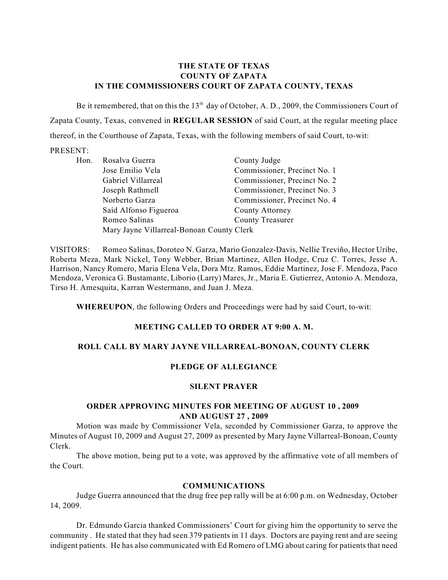## **THE STATE OF TEXAS COUNTY OF ZAPATA IN THE COMMISSIONERS COURT OF ZAPATA COUNTY, TEXAS**

Be it remembered, that on this the  $13<sup>th</sup>$  day of October, A. D., 2009, the Commissioners Court of Zapata County, Texas, convened in **REGULAR SESSION** of said Court, at the regular meeting place thereof, in the Courthouse of Zapata, Texas, with the following members of said Court, to-wit:

#### PRESENT:

| Hon. | Rosalva Guerra                            | County Judge                 |
|------|-------------------------------------------|------------------------------|
|      | Jose Emilio Vela                          | Commissioner, Precinct No. 1 |
|      | Gabriel Villarreal                        | Commissioner, Precinct No. 2 |
|      | Joseph Rathmell                           | Commissioner, Precinct No. 3 |
|      | Norberto Garza                            | Commissioner, Precinct No. 4 |
|      | Saíd Alfonso Figueroa                     | County Attorney              |
|      | Romeo Salinas                             | <b>County Treasurer</b>      |
|      | Mary Jayne Villarreal-Bonoan County Clerk |                              |

VISITORS: Romeo Salinas, Doroteo N. Garza, Mario Gonzalez-Davis, Nellie Treviño, Hector Uribe, Roberta Meza, Mark Nickel, Tony Webber, Brian Martinez, Allen Hodge, Cruz C. Torres, Jesse A. Harrison, Nancy Romero, Maria Elena Vela, Dora Mtz. Ramos, Eddie Martinez, Jose F. Mendoza, Paco Mendoza, Veronica G. Bustamante, Liborio (Larry) Mares, Jr., Maria E. Gutierrez, Antonio A. Mendoza, Tirso H. Amesquita, Karran Westermann, and Juan J. Meza.

**WHEREUPON**, the following Orders and Proceedings were had by said Court, to-wit:

### **MEETING CALLED TO ORDER AT 9:00 A. M.**

# **ROLL CALL BY MARY JAYNE VILLARREAL-BONOAN, COUNTY CLERK**

# **PLEDGE OF ALLEGIANCE**

### **SILENT PRAYER**

## **ORDER APPROVING MINUTES FOR MEETING OF AUGUST 10 , 2009 AND AUGUST 27 , 2009**

Motion was made by Commissioner Vela, seconded by Commissioner Garza, to approve the Minutes of August 10, 2009 and August 27, 2009 as presented by Mary Jayne Villarreal-Bonoan, County Clerk.

The above motion, being put to a vote, was approved by the affirmative vote of all members of the Court.

### **COMMUNICATIONS**

Judge Guerra announced that the drug free pep rally will be at 6:00 p.m. on Wednesday, October 14, 2009.

Dr. Edmundo Garcia thanked Commissioners' Court for giving him the opportunity to serve the community . He stated that they had seen 379 patients in 11 days. Doctors are paying rent and are seeing indigent patients. He has also communicated with Ed Romero of LMG about caring for patients that need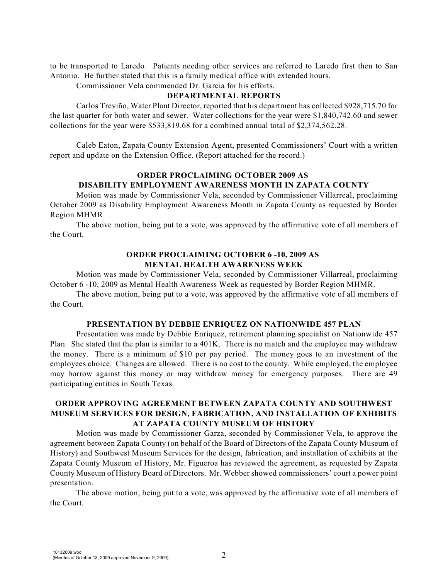to be transported to Laredo. Patients needing other services are referred to Laredo first then to San Antonio. He further stated that this is a family medical office with extended hours.

Commissioner Vela commended Dr. Garcia for his efforts.

#### **DEPARTMENTAL REPORTS**

Carlos Treviño, Water Plant Director, reported that his department has collected \$928,715.70 for the last quarter for both water and sewer. Water collections for the year were \$1,840,742.60 and sewer collections for the year were \$533,819.68 for a combined annual total of \$2,374,562.28.

Caleb Eaton, Zapata County Extension Agent, presented Commissioners' Court with a written report and update on the Extension Office. (Report attached for the record.)

# **ORDER PROCLAIMING OCTOBER 2009 AS DISABILITY EMPLOYMENT AWARENESS MONTH IN ZAPATA COUNTY**

Motion was made by Commissioner Vela, seconded by Commissioner Villarreal, proclaiming October 2009 as Disability Employment Awareness Month in Zapata County as requested by Border Region MHMR

The above motion, being put to a vote, was approved by the affirmative vote of all members of the Court.

#### **ORDER PROCLAIMING OCTOBER 6 -10, 2009 AS MENTAL HEALTH AWARENESS WEEK**

Motion was made by Commissioner Vela, seconded by Commissioner Villarreal, proclaiming October 6 -10, 2009 as Mental Health Awareness Week as requested by Border Region MHMR.

The above motion, being put to a vote, was approved by the affirmative vote of all members of the Court.

### **PRESENTATION BY DEBBIE ENRIQUEZ ON NATIONWIDE 457 PLAN**

Presentation was made by Debbie Enriquez, retirement planning specialist on Nationwide 457 Plan. She stated that the plan is similar to a 401K. There is no match and the employee may withdraw the money. There is a minimum of \$10 per pay period. The money goes to an investment of the employees choice. Changes are allowed. There is no cost to the county. While employed, the employee may borrow against this money or may withdraw money for emergency purposes. There are 49 participating entities in South Texas.

## **ORDER APPROVING AGREEMENT BETWEEN ZAPATA COUNTY AND SOUTHWEST MUSEUM SERVICES FOR DESIGN, FABRICATION, AND INSTALLATION OF EXHIBITS AT ZAPATA COUNTY MUSEUM OF HISTORY**

Motion was made by Commissioner Garza, seconded by Commissioner Vela, to approve the agreement between Zapata County (on behalf of the Board of Directors of the Zapata County Museum of History) and Southwest Museum Services for the design, fabrication, and installation of exhibits at the Zapata County Museum of History, Mr. Figueroa has reviewed the agreement, as requested by Zapata County Museum of History Board of Directors. Mr. Webber showed commissioners' court a power point presentation.

The above motion, being put to a vote, was approved by the affirmative vote of all members of the Court.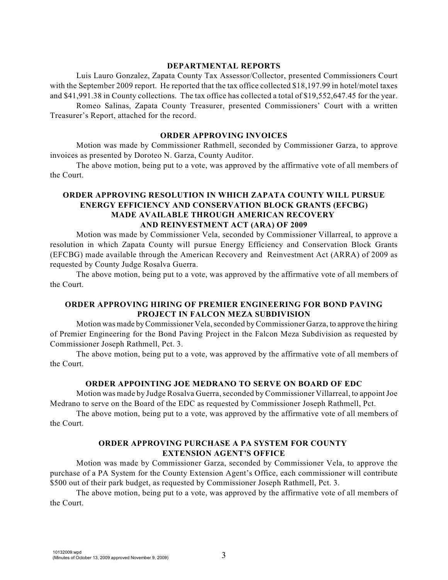#### **DEPARTMENTAL REPORTS**

Luis Lauro Gonzalez, Zapata County Tax Assessor/Collector, presented Commissioners Court with the September 2009 report. He reported that the tax office collected \$18,197.99 in hotel/motel taxes and \$41,991.38 in County collections. The tax office has collected a total of \$19,552,647.45 for the year. Romeo Salinas, Zapata County Treasurer, presented Commissioners' Court with a written

Treasurer's Report, attached for the record.

#### **ORDER APPROVING INVOICES**

Motion was made by Commissioner Rathmell, seconded by Commissioner Garza, to approve invoices as presented by Doroteo N. Garza, County Auditor.

The above motion, being put to a vote, was approved by the affirmative vote of all members of the Court.

## **ORDER APPROVING RESOLUTION IN WHICH ZAPATA COUNTY WILL PURSUE ENERGY EFFICIENCY AND CONSERVATION BLOCK GRANTS (EFCBG) MADE AVAILABLE THROUGH AMERICAN RECOVERY AND REINVESTMENT ACT (ARA) OF 2009**

Motion was made by Commissioner Vela, seconded by Commissioner Villarreal, to approve a resolution in which Zapata County will pursue Energy Efficiency and Conservation Block Grants (EFCBG) made available through the American Recovery and Reinvestment Act (ARRA) of 2009 as requested by County Judge Rosalva Guerra.

The above motion, being put to a vote, was approved by the affirmative vote of all members of the Court.

## **ORDER APPROVING HIRING OF PREMIER ENGINEERING FOR BOND PAVING PROJECT IN FALCON MEZA SUBDIVISION**

Motion was made by Commissioner Vela, seconded by Commissioner Garza, to approve the hiring of Premier Engineering for the Bond Paving Project in the Falcon Meza Subdivision as requested by Commissioner Joseph Rathmell, Pct. 3.

The above motion, being put to a vote, was approved by the affirmative vote of all members of the Court.

## **ORDER APPOINTING JOE MEDRANO TO SERVE ON BOARD OF EDC**

Motion was made by Judge Rosalva Guerra, seconded by Commissioner Villarreal, to appoint Joe Medrano to serve on the Board of the EDC as requested by Commissioner Joseph Rathmell, Pct.

The above motion, being put to a vote, was approved by the affirmative vote of all members of the Court.

## **ORDER APPROVING PURCHASE A PA SYSTEM FOR COUNTY EXTENSION AGENT'S OFFICE**

Motion was made by Commissioner Garza, seconded by Commissioner Vela, to approve the purchase of a PA System for the County Extension Agent's Office, each commissioner will contribute \$500 out of their park budget, as requested by Commissioner Joseph Rathmell, Pct. 3.

The above motion, being put to a vote, was approved by the affirmative vote of all members of the Court.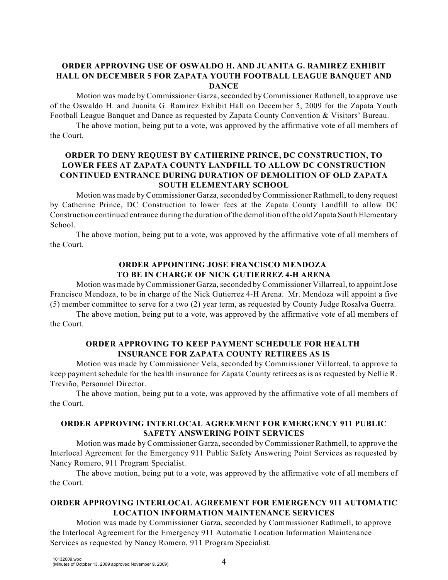## **ORDER APPROVING USE OF OSWALDO H. AND JUANITA G. RAMIREZ EXHIBIT HALL ON DECEMBER 5 FOR ZAPATA YOUTH FOOTBALL LEAGUE BANQUET AND DANCE**

Motion was made by Commissioner Garza, seconded by Commissioner Rathmell, to approve use of the Oswaldo H. and Juanita G. Ramirez Exhibit Hall on December 5, 2009 for the Zapata Youth Football League Banquet and Dance as requested by Zapata County Convention & Visitors' Bureau.

The above motion, being put to a vote, was approved by the affirmative vote of all members of the Court.

# **ORDER TO DENY REQUEST BY CATHERINE PRINCE, DC CONSTRUCTION, TO LOWER FEES AT ZAPATA COUNTY LANDFILL TO ALLOW DC CONSTRUCTION CONTINUED ENTRANCE DURING DURATION OF DEMOLITION OF OLD ZAPATA SOUTH ELEMENTARY SCHOOL**

Motion was made by Commissioner Garza, seconded by Commissioner Rathmell, to deny request by Catherine Prince, DC Construction to lower fees at the Zapata County Landfill to allow DC Construction continued entrance during the duration of the demolition ofthe old Zapata South Elementary School.

The above motion, being put to a vote, was approved by the affirmative vote of all members of the Court.

## **ORDER APPOINTING JOSE FRANCISCO MENDOZA TO BE IN CHARGE OF NICK GUTIERREZ 4-H ARENA**

Motion was made by Commissioner Garza, seconded by Commissioner Villarreal, to appoint Jose Francisco Mendoza, to be in charge of the Nick Gutierrez 4-H Arena. Mr. Mendoza will appoint a five (5) member committee to serve for a two (2) year term, as requested by County Judge Rosalva Guerra.

The above motion, being put to a vote, was approved by the affirmative vote of all members of the Court.

## **ORDER APPROVING TO KEEP PAYMENT SCHEDULE FOR HEALTH INSURANCE FOR ZAPATA COUNTY RETIREES AS IS**

Motion was made by Commissioner Vela, seconded by Commissioner Villarreal, to approve to keep payment schedule for the health insurance for Zapata County retirees as is as requested by Nellie R. Treviño, Personnel Director.

The above motion, being put to a vote, was approved by the affirmative vote of all members of the Court.

# **ORDER APPROVING INTERLOCAL AGREEMENT FOR EMERGENCY 911 PUBLIC SAFETY ANSWERING POINT SERVICES**

Motion was made by Commissioner Garza, seconded by Commissioner Rathmell, to approve the Interlocal Agreement for the Emergency 911 Public Safety Answering Point Services as requested by Nancy Romero, 911 Program Specialist.

The above motion, being put to a vote, was approved by the affirmative vote of all members of the Court.

# **ORDER APPROVING INTERLOCAL AGREEMENT FOR EMERGENCY 911 AUTOMATIC LOCATION INFORMATION MAINTENANCE SERVICES**

Motion was made by Commissioner Garza, seconded by Commissioner Rathmell, to approve the Interlocal Agreement for the Emergency 911 Automatic Location Information Maintenance Services as requested by Nancy Romero, 911 Program Specialist.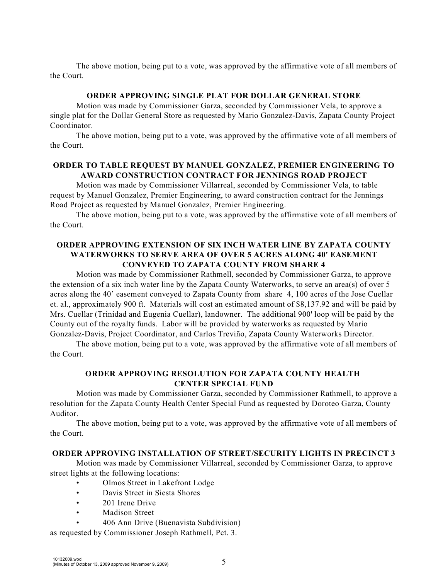The above motion, being put to a vote, was approved by the affirmative vote of all members of the Court.

#### **ORDER APPROVING SINGLE PLAT FOR DOLLAR GENERAL STORE**

Motion was made by Commissioner Garza, seconded by Commissioner Vela, to approve a single plat for the Dollar General Store as requested by Mario Gonzalez-Davis, Zapata County Project Coordinator.

The above motion, being put to a vote, was approved by the affirmative vote of all members of the Court.

### **ORDER TO TABLE REQUEST BY MANUEL GONZALEZ, PREMIER ENGINEERING TO AWARD CONSTRUCTION CONTRACT FOR JENNINGS ROAD PROJECT**

Motion was made by Commissioner Villarreal, seconded by Commissioner Vela, to table request by Manuel Gonzalez, Premier Engineering, to award construction contract for the Jennings Road Project as requested by Manuel Gonzalez, Premier Engineering.

The above motion, being put to a vote, was approved by the affirmative vote of all members of the Court.

### **ORDER APPROVING EXTENSION OF SIX INCH WATER LINE BY ZAPATA COUNTY WATERWORKS TO SERVE AREA OF OVER 5 ACRES ALONG 40' EASEMENT CONVEYED TO ZAPATA COUNTY FROM SHARE 4**

Motion was made by Commissioner Rathmell, seconded by Commissioner Garza, to approve the extension of a six inch water line by the Zapata County Waterworks, to serve an area(s) of over 5 acres along the 40' easement conveyed to Zapata County from share 4, 100 acres of the Jose Cuellar et. al., approximately 900 ft. Materials will cost an estimated amount of \$8,137.92 and will be paid by Mrs. Cuellar (Trinidad and Eugenia Cuellar), landowner. The additional 900' loop will be paid by the County out of the royalty funds. Labor will be provided by waterworks as requested by Mario Gonzalez-Davis, Project Coordinator, and Carlos Treviño, Zapata County Waterworks Director.

The above motion, being put to a vote, was approved by the affirmative vote of all members of the Court.

# **ORDER APPROVING RESOLUTION FOR ZAPATA COUNTY HEALTH CENTER SPECIAL FUND**

Motion was made by Commissioner Garza, seconded by Commissioner Rathmell, to approve a resolution for the Zapata County Health Center Special Fund as requested by Doroteo Garza, County Auditor.

The above motion, being put to a vote, was approved by the affirmative vote of all members of the Court.

### **ORDER APPROVING INSTALLATION OF STREET/SECURITY LIGHTS IN PRECINCT 3**

Motion was made by Commissioner Villarreal, seconded by Commissioner Garza, to approve street lights at the following locations:

- Olmos Street in Lakefront Lodge
- Davis Street in Siesta Shores
- 201 Irene Drive
- Madison Street
- 406 Ann Drive (Buenavista Subdivision)

as requested by Commissioner Joseph Rathmell, Pct. 3.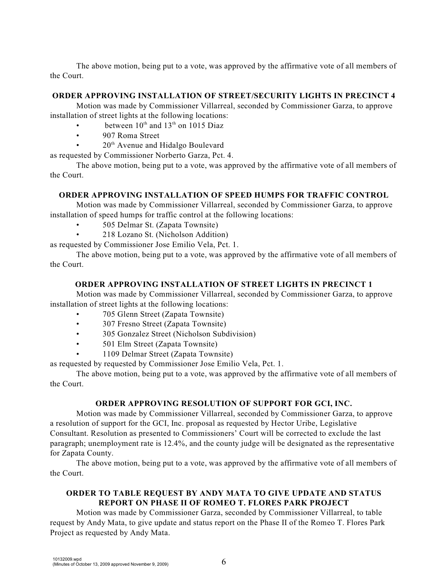The above motion, being put to a vote, was approved by the affirmative vote of all members of the Court.

### **ORDER APPROVING INSTALLATION OF STREET/SECURITY LIGHTS IN PRECINCT 4**

Motion was made by Commissioner Villarreal, seconded by Commissioner Garza, to approve installation of street lights at the following locations:

- between  $10^{th}$  and  $13^{th}$  on 1015 Diaz
- 907 Roma Street
- $20<sup>th</sup>$  Avenue and Hidalgo Boulevard

as requested by Commissioner Norberto Garza, Pct. 4.

The above motion, being put to a vote, was approved by the affirmative vote of all members of the Court.

# **ORDER APPROVING INSTALLATION OF SPEED HUMPS FOR TRAFFIC CONTROL**

Motion was made by Commissioner Villarreal, seconded by Commissioner Garza, to approve installation of speed humps for traffic control at the following locations:

- 505 Delmar St. (Zapata Townsite)
- 218 Lozano St. (Nicholson Addition)

as requested by Commissioner Jose Emilio Vela, Pct. 1.

The above motion, being put to a vote, was approved by the affirmative vote of all members of the Court.

## **ORDER APPROVING INSTALLATION OF STREET LIGHTS IN PRECINCT 1**

Motion was made by Commissioner Villarreal, seconded by Commissioner Garza, to approve installation of street lights at the following locations:

- 705 Glenn Street (Zapata Townsite)
- 307 Fresno Street (Zapata Townsite)
- 305 Gonzalez Street (Nicholson Subdivision)
- 501 Elm Street (Zapata Townsite)
- 1109 Delmar Street (Zapata Townsite)

as requested by requested by Commissioner Jose Emilio Vela, Pct. 1.

The above motion, being put to a vote, was approved by the affirmative vote of all members of the Court.

### **ORDER APPROVING RESOLUTION OF SUPPORT FOR GCI, INC.**

Motion was made by Commissioner Villarreal, seconded by Commissioner Garza, to approve a resolution of support for the GCI, Inc. proposal as requested by Hector Uribe, Legislative Consultant. Resolution as presented to Commissioners' Court will be corrected to exclude the last paragraph; unemployment rate is 12.4%, and the county judge will be designated as the representative for Zapata County.

The above motion, being put to a vote, was approved by the affirmative vote of all members of the Court.

# **ORDER TO TABLE REQUEST BY ANDY MATA TO GIVE UPDATE AND STATUS REPORT ON PHASE II OF ROMEO T. FLORES PARK PROJECT**

Motion was made by Commissioner Garza, seconded by Commissioner Villarreal, to table request by Andy Mata, to give update and status report on the Phase II of the Romeo T. Flores Park Project as requested by Andy Mata.